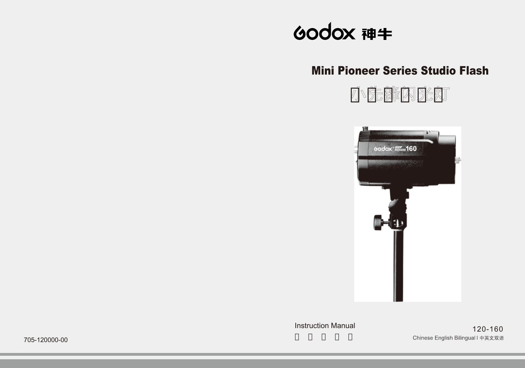# 60dox 神生

## Mini Pioneer Series Studio Flash

小先锋闪光灯

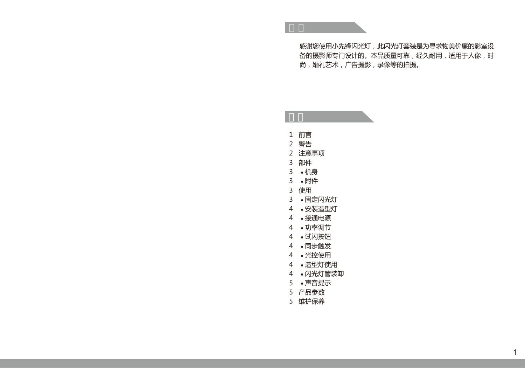感谢您使用小先锋闪光灯,此闪光灯套装是为寻求物美价廉的影室设 备的摄影师专门设计的。本品质量可靠,经久耐用,适用于人像,时 尚,婚礼艺术,广告摄影,录像等的拍摄。

| 1              | 前言      |
|----------------|---------|
| $\overline{2}$ | 警告      |
| $\overline{2}$ | 注意事项    |
| 3              | 部件      |
| 3              | ∙机身     |
| 3              | ●附件     |
| 3              | 使用      |
| 3              | •固定闪光灯  |
| 4              | ●安装诰型灯  |
| 4              | ●接通电源   |
| 4              | ●功率调节   |
| 4              | ●试闪按钮   |
| 4              | • 同步触发  |
| 4              | ●光控使用   |
| 4              | ● 诰型灯使用 |
| 4              | ●闪光灯管装卸 |
| 5              | •声音提示   |
| 5              | 产品参数    |
| 5              | 维护保养    |

目录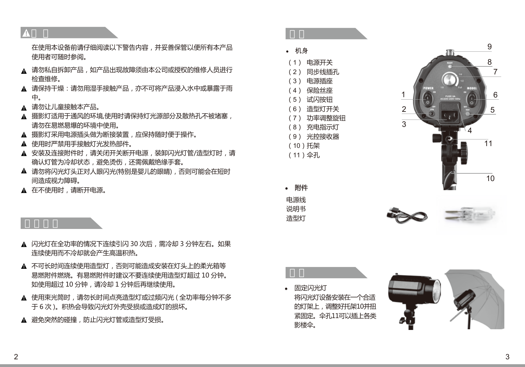在使用本设备前请仔细阅读以下警告内容,并妥善保管以便所有本产品 使用者可随时参阅。

- 请勿私自拆卸产品,如产品出现故障须由本公司或授权的维修人员进行 检查维修。
- ▲ 请保持干燥:请勿用湿手接触产品,亦不可将产品浸入水中或暴露干雨 中。
- 请勿让儿童接触本产品。
- ▲ 摄影灯话用于通风的环境,使用时请保持灯光源部分及散热孔不被堵塞, 请勿在易燃易爆的环境中使用。
- 摄影灯采用电源插头做为断接装置,应保持随时便于操作。
- ▲ 使用时严禁用手接触灯光发热部件。
- ▲ 安装及连接附件时, 请关闭开关断开电源, 装卸闪光灯管/造型灯时, 请 确认灯管为冷却状态,避免烫伤,还需佩戴绝缘手套。
- ▲ 请勿将闪光灯头正对人眼闪光(特别是婴儿的眼睛),否则可能会在短时 间造成视力障碍。
- 在不使用时,请断开电源。

- ▲ 闪光灯在全功率的情况下连续引闪 30 次后,需冷却 3 分钟左右。如果 连续使用而不冷却就会产生高温积热。
- ▲ 不可长时间连续使用造型灯,否则可能造成安装在灯头上的柔光箱等 易燃附件燃烧。有易燃附件时建议不要连续使用造型灯超过 10 分钟。 如使用超过 10 分钟,请冷却 1 分钟后再继续使用。
- ▲ 使用束光筒时, 请勿长时间点亮造型灯或过频闪光 ( 全功率每分钟不多 于 6 次 )。积热会导致闪光灯外壳受损或造成灯的损坏。
- ▲ 避免突然的碰撞,防止闪光灯管或造型灯受损。



● 机身

- (7) 功率调整旋钮
- (8) 充电指示灯
- (9) 光控接收器
- (10)托架
- (11)伞孔









固定闪光灯 将闪光灯设备安装在一个合话 的灯架上,调整好托架10并扭 紧固定。伞孔11可以插上各类 影楼伞。

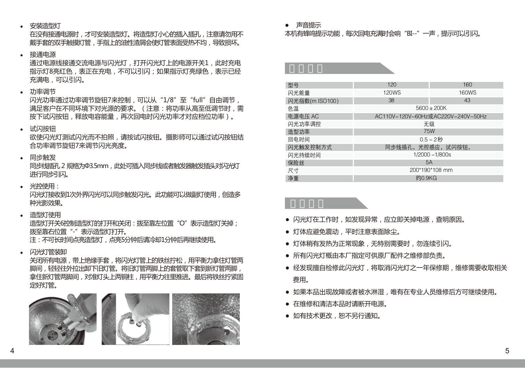● 安装造型灯

在没有接通电源时,才可安装造型灯。将造型灯小心的插入插孔,注意请勿用不 戴手套的双手触摸灯管,手指上的油性渣屑会使灯管表面受热不均,导致损坏。

#### ● 接通电源

通过电源线接通交流电源与闪光灯,打开闪光灯上的电源开关1,此时充电 指示灯8亮红色,表正在充电,不可以引闪;如果指示灯亮绿色,表示已经 充满电,可以引闪。

● 功率调节

闪光功率通过功率调节旋钮7来控制,可以从"1/8"至"full"自由调节, 满足客户在不同环境下对光源的要求。(注意:将功率从高至低调节时,需 按下试闪按钮,释放电容能量,再次回电时闪光功率才对应档位功率)。

● 试闪按钮

欲使闪光灯测试闪光而不拍照,请按试闪按钮。摄影师可以通过试闪按钮结 合功率调节旋钮7来调节闪光亮度。

● 同步触发

同步线插孔 2 规格为Φ3.5mm, 此处可插入同步线或者触发器触发插头对闪光灯 进行同步引闪

● 光控使用:

闪光灯接收到1次外界闪光可以同步触发闪光。此功能可以做副灯使用,创造多 种光影效果。

● 造型灯使用 造型灯开关6控制造型灯的打开和关闭:拨至靠左位置"O"表示造型灯关掉; 拨至靠右位置"-"表示造型灯打开。

注:不可长时间点亮造型灯,点亮5分钟后请冷却1分钟后再继续使用。

● 闪光灯管装卸

关闭所有电源,带上绝缘手套,将闪光灯管上的铁丝拧松,用平衡力拿住灯管两 脚间,轻轻往外拉出卸下旧灯管。将旧灯管两脚上的套管取下套到新灯管两脚, 拿住新灯管两脚间,对准灯头上两铜柱,用平衡力往里推进。最后将铁丝拧紧固 定好灯管。



● 声音提示

#### 本机有蜂鸣提示功能,每次回电充满时会响"BI--"一声,提示可以引闪。

型号 160 - 120 - 120 - 120 - 160 - 160 - 160 - 160 - 160 - 160 - 160 - 160 - 160 - 160 - 160 - 160 - 160 - 160 - 闪光能量 120WS 160WS 闪光指数(m ISO100) 38 38 43 **色温** 5600±200K 电源电压 AC AC110V-120V~60Hz或AC220V-240V~50Hz 闪光功率调控 おおところ しょうしょう こうしょう こうしょう 元级 造型功率 75W 回电时间 0.5 - 2秒 闪光触发控制方式 同志 同步线插孔,光控感应,试闪按钮, 闪光持续时间 1/2000 - 1/800s **保险丝** 5A 尺寸 200\*190\*108 mm 净重 约0.9KG

- 闪光灯在工作时,如发现异常,应立即关掉电源,查明原因。
- 灯体应避免震动,平时注意表面除尘。
- 灯体稍有发热为正常现象, 无特别需要时, 勿连续引闪。
- 所有闪光灯概由本厂指定可供原厂配件之维修部负责。
- 经发现擅自检修此闪光灯,将取消闪光灯之一年保修期,维修需要收取相关 费用。
- 如果本品出现故障或者被水淋湿, 唯有在专业人员维修后方可继续使用。
- 在维修和清洁本品时请断开电源。
- 如有技术更改,恕不另行通知。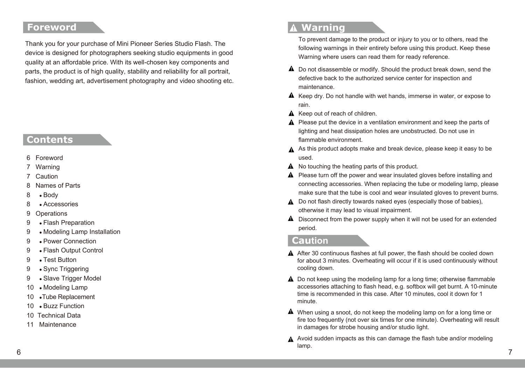## **Foreword**

Thank you for your purchase of Mini Pioneer Series Studio Flash. The device is designed for photographers seeking studio equipments in good quality at an affordable price. With its well-chosen key components and parts, the product is of high quality, stability and reliability for all portrait, fashion, wedding art, advertisement photography and video shooting etc.

## **Contents**

- 6 Foreword
- Warning
- **Caution**
- 8 Names of Parts
- 8 Body
- 8 Accessories
- 9 Operations
- 9 Flash Preparation
- 9 Modeling Lamp Installation
- 9 Power Connection
- 9 Flash Output Control
- 9 Test Button
- 9 Sync Triggering
- 9 Slave Trigger Model
- 10 Modeling Lamp
- 10 •Tube Replacement
- 10 Buzz Function
- 10 Technical Data
- 11 Maintenance

## **Warning**

To prevent damage to the product or injury to you or to others, read the following warnings in their entirety before using this product. Keep these Warning where users can read them for ready reference.

- $\triangle$  Do not disassemble or modify. Should the product break down, send the defective back to the authorized service center for inspection and maintenance.
- $\triangle$  Keep dry. Do not handle with wet hands, immerse in water, or expose to rain.
- $\Lambda$  Keep out of reach of children.
- A Please put the device in a ventilation environment and keep the parts of lighting and heat dissipation holes are unobstructed. Do not use in flammable environment.
- A As this product adopts make and break device, please keep it easy to be used.
- A No touching the heating parts of this product.
- A Please turn off the power and wear insulated gloves before installing and connecting accessories. When replacing the tube or modeling lamp, please make sure that the tube is cool and wear insulated gloves to prevent burns.
- **A** Do not flash directly towards naked eyes (especially those of babies), otherwise it may lead to visual impairment.
- $\triangle$  Disconnect from the power supply when it will not be used for an extended period.

## **Caution**

- A After 30 continuous flashes at full power, the flash should be cooled down for about 3 minutes. Overheating will occur if it is used continuously without cooling down.
- A Do not keep using the modeling lamp for a long time; otherwise flammable accessories attaching to flash head, e.g. softbox will get burnt. A 10-minute time is recommended in this case. After 10 minutes, cool it down for 1 minute.
- When using a snoot, do not keep the modeling lamp on for a long time or fire too frequently (not over six times for one minute). Overheating will result in damages for strobe housing and/or studio light.
- A Avoid sudden impacts as this can damage the flash tube and/or modeling lamp. 6 and 20 and 20 and 20 and 20 and 20 and 20 and 20 and 20 and 20 and 20 and 20 and 20 and 20 and 20 and 20 and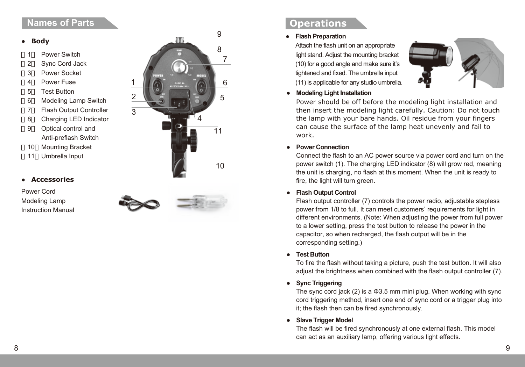## **Names of Parts Constanting Constanting Constanting Constanting Constanting Constanting Constanting Constanting Constanting Constanting Constanting Constanting Constanting Constanting Constanting Constanting Constanting**

#### **● Body**

- Power Switch
- 2 Sync Cord Jack
- 3 Power Socket
- 4 Power Fuse
- 5 Test Button
- 6 Modeling Lamp Switch
- 7 Flash Output Controller
- 8 Charging LED Indicator
- 9 Optical control and Anti-preflash Switch
- 10 Mounting Bracket
- 11 Umbrella Input

#### **● Accessories**

Power Cord Modeling Lamp Instruction Manual



#### **● Flash Preparation**

Attach the flash unit on an appropriate light stand. Adjust the mounting bracket (10) for a good angle and make sure it's tightened and fixed. The umbrella input (11) is applicable for any studio umbrella.



**● Modeling Light Installation**

Power should be off before the modeling light installation and then insert the modeling light carefully. Caution: Do not touch the lamp with your bare hands. Oil residue from your fingers can cause the surface of the lamp heat unevenly and fail to work.

**● Power Connection**

Connect the flash to an AC power source via power cord and turn on the power switch (1). The charging LED indicator (8) will grow red, meaning the unit is charging, no flash at this moment. When the unit is ready to fire, the light will turn green.

### **● Flash Output Control**

Flash output controller (7) controls the power radio, adjustable stepless power from 1/8 to full. It can meet customers' requirements for light in different environments. (Note: When adjusting the power from full power to a lower setting, press the test button to release the power in the capacitor, so when recharged, the flash output will be in the corresponding setting.)

**● Test Button**

To fire the flash without taking a picture, push the test button. It will also adjust the brightness when combined with the flash output controller (7).

**● Sync Triggering**

The sync cord jack (2) is a Φ3.5 mm mini plug. When working with sync cord triggering method, insert one end of sync cord or a trigger plug into it; the flash then can be fired synchronously.

**● Slave Trigger Model**

The flash will be fired synchronously at one external flash. This model can act as an auxiliary lamp, offering various light effects.